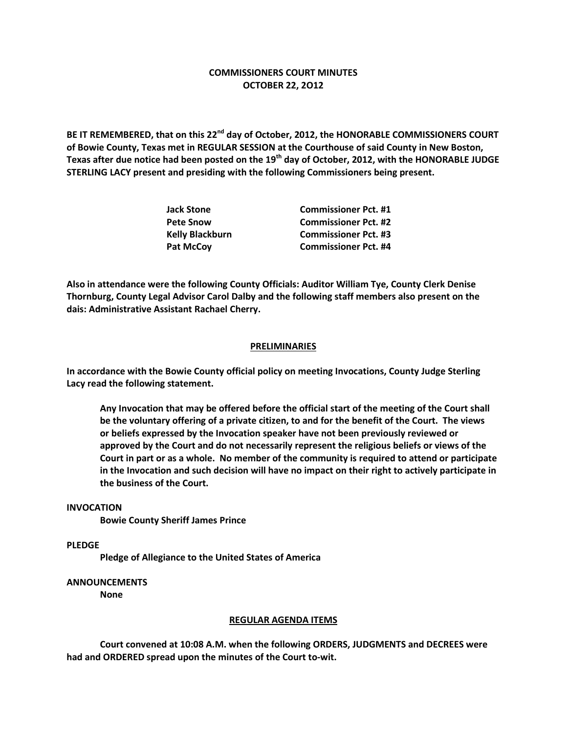# **COMMISSIONERS COURT MINUTES OCTOBER 22, 2O12**

**BE IT REMEMBERED, that on this 22nd day of October, 2012, the HONORABLE COMMISSIONERS COURT of Bowie County, Texas met in REGULAR SESSION at the Courthouse of said County in New Boston, Texas after due notice had been posted on the 19th day of October, 2012, with the HONORABLE JUDGE STERLING LACY present and presiding with the following Commissioners being present.**

| <b>Jack Stone</b>      | <b>Commissioner Pct. #1</b> |
|------------------------|-----------------------------|
| <b>Pete Snow</b>       | <b>Commissioner Pct. #2</b> |
| <b>Kelly Blackburn</b> | <b>Commissioner Pct. #3</b> |
| <b>Pat McCoy</b>       | <b>Commissioner Pct. #4</b> |

**Also in attendance were the following County Officials: Auditor William Tye, County Clerk Denise Thornburg, County Legal Advisor Carol Dalby and the following staff members also present on the dais: Administrative Assistant Rachael Cherry.**

## **PRELIMINARIES**

**In accordance with the Bowie County official policy on meeting Invocations, County Judge Sterling Lacy read the following statement.**

**Any Invocation that may be offered before the official start of the meeting of the Court shall be the voluntary offering of a private citizen, to and for the benefit of the Court. The views or beliefs expressed by the Invocation speaker have not been previously reviewed or approved by the Court and do not necessarily represent the religious beliefs or views of the Court in part or as a whole. No member of the community is required to attend or participate in the Invocation and such decision will have no impact on their right to actively participate in the business of the Court.**

#### **INVOCATION**

**Bowie County Sheriff James Prince**

**PLEDGE**

**Pledge of Allegiance to the United States of America**

### **ANNOUNCEMENTS**

**None**

#### **REGULAR AGENDA ITEMS**

**Court convened at 10:08 A.M. when the following ORDERS, JUDGMENTS and DECREES were had and ORDERED spread upon the minutes of the Court to-wit.**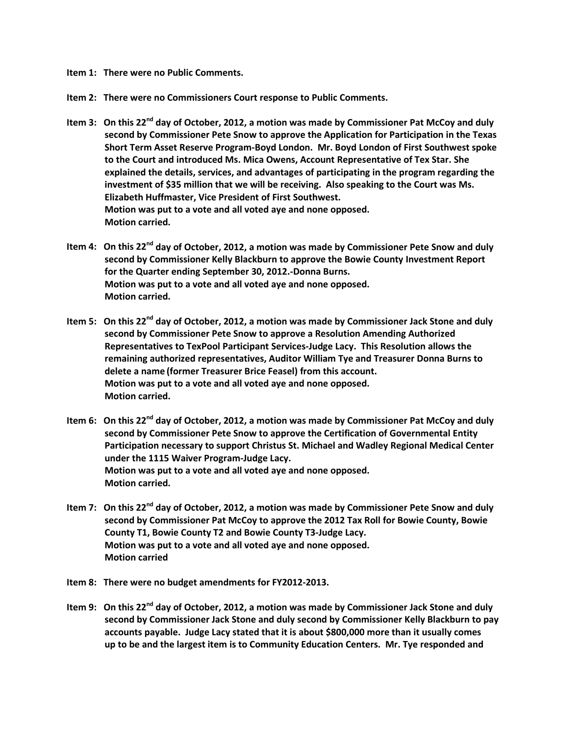**Item 1: There were no Public Comments.**

**Item 2: There were no Commissioners Court response to Public Comments.**

- **Item 3: On this 22nd day of October, 2012, a motion was made by Commissioner Pat McCoy and duly second by Commissioner Pete Snow to approve the Application for Participation in the Texas Short Term Asset Reserve Program-Boyd London. Mr. Boyd London of First Southwest spoke to the Court and introduced Ms. Mica Owens, Account Representative of Tex Star. She explained the details, services, and advantages of participating in the program regarding the investment of \$35 million that we will be receiving. Also speaking to the Court was Ms. Elizabeth Huffmaster, Vice President of First Southwest. Motion was put to a vote and all voted aye and none opposed. Motion carried.**
- **Item 4: On this 22nd day of October, 2012, a motion was made by Commissioner Pete Snow and duly second by Commissioner Kelly Blackburn to approve the Bowie County Investment Report for the Quarter ending September 30, 2012.-Donna Burns. Motion was put to a vote and all voted aye and none opposed. Motion carried.**
- **Item 5: On this 22nd day of October, 2012, a motion was made by Commissioner Jack Stone and duly second by Commissioner Pete Snow to approve a Resolution Amending Authorized Representatives to TexPool Participant Services-Judge Lacy. This Resolution allows the remaining authorized representatives, Auditor William Tye and Treasurer Donna Burns to delete a name (former Treasurer Brice Feasel) from this account. Motion was put to a vote and all voted aye and none opposed. Motion carried.**
- **Item 6: On this 22nd day of October, 2012, a motion was made by Commissioner Pat McCoy and duly second by Commissioner Pete Snow to approve the Certification of Governmental Entity Participation necessary to support Christus St. Michael and Wadley Regional Medical Center under the 1115 Waiver Program-Judge Lacy. Motion was put to a vote and all voted aye and none opposed. Motion carried.**
- **Item 7: On this 22nd day of October, 2012, a motion was made by Commissioner Pete Snow and duly second by Commissioner Pat McCoy to approve the 2012 Tax Roll for Bowie County, Bowie County T1, Bowie County T2 and Bowie County T3-Judge Lacy. Motion was put to a vote and all voted aye and none opposed. Motion carried**
- **Item 8: There were no budget amendments for FY2012-2013.**
- **Item 9: On this 22nd day of October, 2012, a motion was made by Commissioner Jack Stone and duly second by Commissioner Jack Stone and duly second by Commissioner Kelly Blackburn to pay accounts payable. Judge Lacy stated that it is about \$800,000 more than it usually comes up to be and the largest item is to Community Education Centers. Mr. Tye responded and**